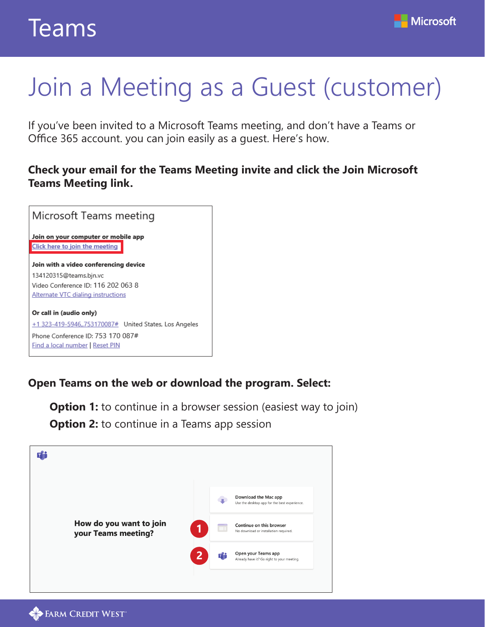

# Join a Meeting as a Guest (customer)

If you've been invited to a Microsoft Teams meeting, and don't have a Teams or Office 365 account. you can join easily as a guest. Here's how.

## **Check your email for the Teams Meeting invite and click the Join Microsoft Teams Meeting link.**



## **Open Teams on the web or download the program. Select:**

**Option 1:** to continue in a browser session (easiest way to join) **Option 2:** to continue in a Teams app session